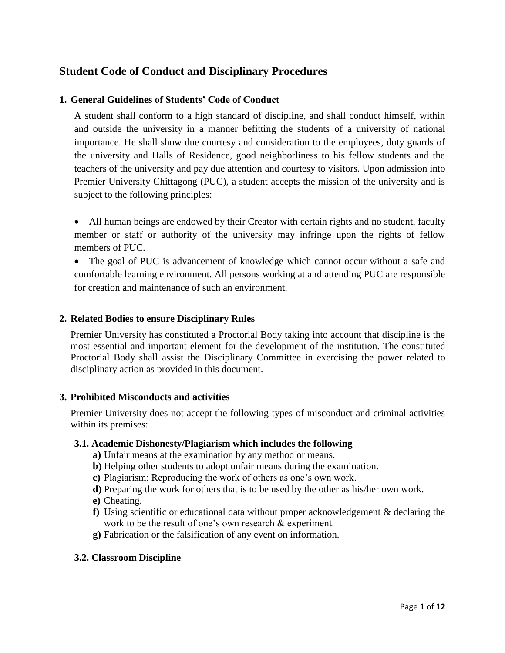# **Student Code of Conduct and Disciplinary Procedures**

# **1. General Guidelines of Students' Code of Conduct**

A student shall conform to a high standard of discipline, and shall conduct himself, within and outside the university in a manner befitting the students of a university of national importance. He shall show due courtesy and consideration to the employees, duty guards of the university and Halls of Residence, good neighborliness to his fellow students and the teachers of the university and pay due attention and courtesy to visitors. Upon admission into Premier University Chittagong (PUC), a student accepts the mission of the university and is subject to the following principles:

- All human beings are endowed by their Creator with certain rights and no student, faculty member or staff or authority of the university may infringe upon the rights of fellow members of PUC.
- The goal of PUC is advancement of knowledge which cannot occur without a safe and comfortable learning environment. All persons working at and attending PUC are responsible for creation and maintenance of such an environment.

#### **2. Related Bodies to ensure Disciplinary Rules**

Premier University has constituted a Proctorial Body taking into account that discipline is the most essential and important element for the development of the institution. The constituted Proctorial Body shall assist the Disciplinary Committee in exercising the power related to disciplinary action as provided in this document.

#### **3. Prohibited Misconducts and activities**

Premier University does not accept the following types of misconduct and criminal activities within its premises:

#### **3.1. Academic Dishonesty/Plagiarism which includes the following**

- **a)** Unfair means at the examination by any method or means.
- **b)** Helping other students to adopt unfair means during the examination.
- **c)** Plagiarism: Reproducing the work of others as one's own work.
- **d)** Preparing the work for others that is to be used by the other as his/her own work.
- **e)** Cheating.
- **f)** Using scientific or educational data without proper acknowledgement & declaring the work to be the result of one's own research  $\&$  experiment.
- **g)** Fabrication or the falsification of any event on information.

#### **3.2. Classroom Discipline**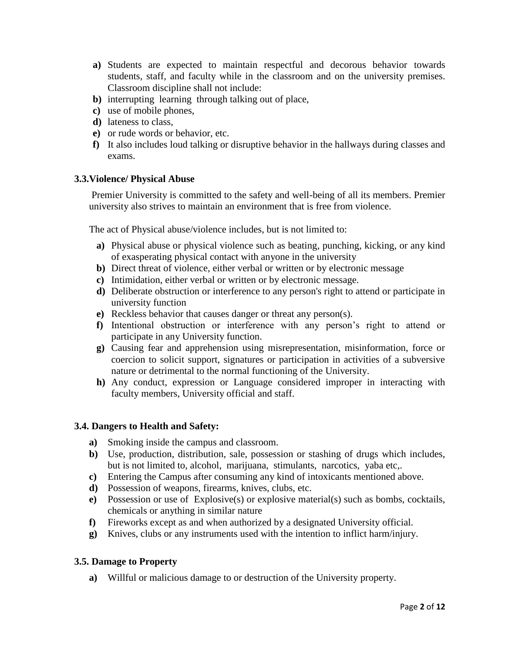- **a)** Students are expected to maintain respectful and decorous behavior towards students, staff, and faculty while in the classroom and on the university premises. Classroom discipline shall not include:
- **b)** interrupting learning through talking out of place,
- **c)** use of mobile phones,
- **d)** lateness to class,
- **e)** or rude words or behavior, etc.
- **f)** It also includes loud talking or disruptive behavior in the hallways during classes and exams.

# **3.3.Violence/ Physical Abuse**

Premier University is committed to the safety and well-being of all its members. Premier university also strives to maintain an environment that is free from violence.

The act of Physical abuse/violence includes, but is not limited to:

- **a)** Physical abuse or physical violence such as beating, punching, kicking, or any kind of exasperating physical contact with anyone in the university
- **b**) Direct threat of violence, either verbal or written or by electronic message
- **c)** Intimidation, either verbal or written or by electronic message.
- **d)** Deliberate obstruction or interference to any person's right to attend or participate in university function
- **e)** Reckless behavior that causes danger or threat any person(s).
- **f)** Intentional obstruction or interference with any person's right to attend or participate in any University function.
- **g)** Causing fear and apprehension using misrepresentation, misinformation, force or coercion to solicit support, signatures or participation in activities of a subversive nature or detrimental to the normal functioning of the University.
- **h)** Any conduct, expression or Language considered improper in interacting with faculty members, University official and staff.

#### **3.4. Dangers to Health and Safety:**

- **a)** Smoking inside the campus and classroom.
- **b)** Use, production, distribution, sale, possession or stashing of drugs which includes, but is not limited to, alcohol, marijuana, stimulants, narcotics, yaba etc,.
- **c)** Entering the Campus after consuming any kind of intoxicants mentioned above.
- **d)** Possession of weapons, firearms, knives, clubs, etc.
- **e)** Possession or use of Explosive(s) or explosive material(s) such as bombs, cocktails, chemicals or anything in similar nature
- **f)** Fireworks except as and when authorized by a designated University official.
- **g)** Knives, clubs or any instruments used with the intention to inflict harm/injury.

#### **3.5. Damage to Property**

**a)** Willful or malicious damage to or destruction of the University property.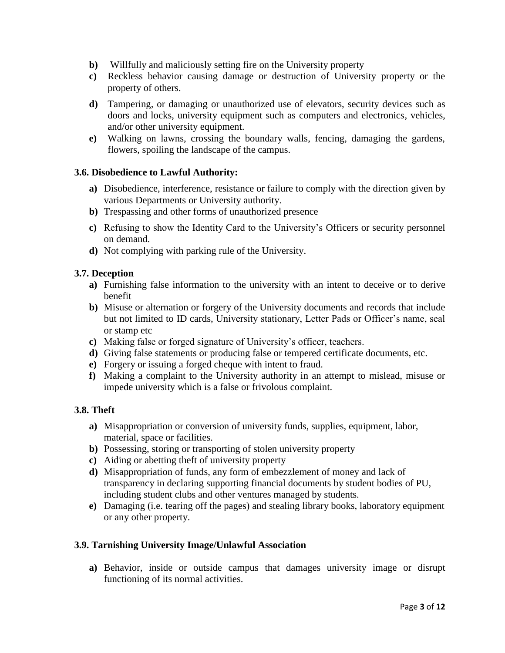- **b)** Willfully and maliciously setting fire on the University property
- **c)** Reckless behavior causing damage or destruction of University property or the property of others.
- **d)** Tampering, or damaging or unauthorized use of elevators, security devices such as doors and locks, university equipment such as computers and electronics, vehicles, and/or other university equipment.
- **e)** Walking on lawns, crossing the boundary walls, fencing, damaging the gardens, flowers, spoiling the landscape of the campus.

# **3.6. Disobedience to Lawful Authority:**

- **a)** Disobedience, interference, resistance or failure to comply with the direction given by various Departments or University authority.
- **b)** Trespassing and other forms of unauthorized presence
- **c)** Refusing to show the Identity Card to the University's Officers or security personnel on demand.
- **d)** Not complying with parking rule of the University.

# **3.7. Deception**

- **a)** Furnishing false information to the university with an intent to deceive or to derive benefit
- **b)** Misuse or alternation or forgery of the University documents and records that include but not limited to ID cards, University stationary, Letter Pads or Officer's name, seal or stamp etc
- **c)** Making false or forged signature of University's officer, teachers.
- **d)** Giving false statements or producing false or tempered certificate documents, etc.
- **e)** Forgery or issuing a forged cheque with intent to fraud.
- **f)** Making a complaint to the University authority in an attempt to mislead, misuse or impede university which is a false or frivolous complaint.

# **3.8. Theft**

- **a)** Misappropriation or conversion of university funds, supplies, equipment, labor, material, space or facilities.
- **b)** Possessing, storing or transporting of stolen university property
- **c)** Aiding or abetting theft of university property
- **d)** Misappropriation of funds, any form of embezzlement of money and lack of transparency in declaring supporting financial documents by student bodies of PU, including student clubs and other ventures managed by students.
- **e)** Damaging (i.e. tearing off the pages) and stealing library books, laboratory equipment or any other property.

# **3.9. Tarnishing University Image/Unlawful Association**

**a)** Behavior, inside or outside campus that damages university image or disrupt functioning of its normal activities.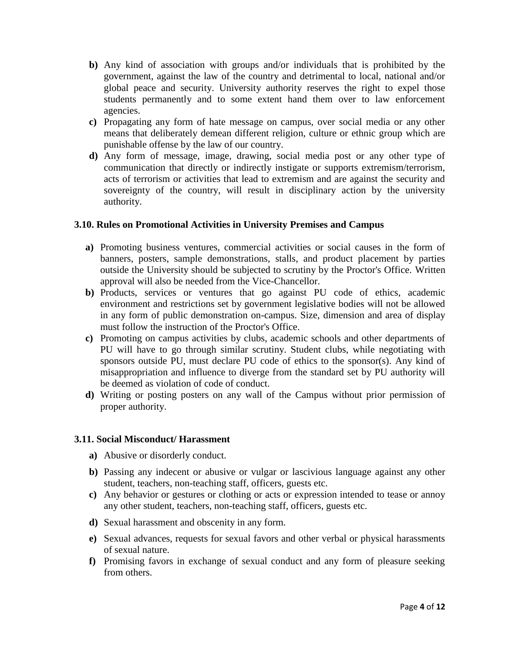- **b)** Any kind of association with groups and/or individuals that is prohibited by the government, against the law of the country and detrimental to local, national and/or global peace and security. University authority reserves the right to expel those students permanently and to some extent hand them over to law enforcement agencies.
- **c)** Propagating any form of hate message on campus, over social media or any other means that deliberately demean different religion, culture or ethnic group which are punishable offense by the law of our country.
- **d)** Any form of message, image, drawing, social media post or any other type of communication that directly or indirectly instigate or supports extremism/terrorism, acts of terrorism or activities that lead to extremism and are against the security and sovereignty of the country, will result in disciplinary action by the university authority.

# **3.10. Rules on Promotional Activities in University Premises and Campus**

- **a)** Promoting business ventures, commercial activities or social causes in the form of banners, posters, sample demonstrations, stalls, and product placement by parties outside the University should be subjected to scrutiny by the Proctor's Office. Written approval will also be needed from the Vice-Chancellor.
- **b)** Products, services or ventures that go against PU code of ethics, academic environment and restrictions set by government legislative bodies will not be allowed in any form of public demonstration on-campus. Size, dimension and area of display must follow the instruction of the Proctor's Office.
- **c)** Promoting on campus activities by clubs, academic schools and other departments of PU will have to go through similar scrutiny. Student clubs, while negotiating with sponsors outside PU, must declare PU code of ethics to the sponsor(s). Any kind of misappropriation and influence to diverge from the standard set by PU authority will be deemed as violation of code of conduct.
- **d)** Writing or posting posters on any wall of the Campus without prior permission of proper authority.

# **3.11. Social Misconduct/ Harassment**

- **a)** Abusive or disorderly conduct.
- **b)** Passing any indecent or abusive or vulgar or lascivious language against any other student, teachers, non-teaching staff, officers, guests etc.
- **c)** Any behavior or gestures or clothing or acts or expression intended to tease or annoy any other student, teachers, non-teaching staff, officers, guests etc.
- **d)** Sexual harassment and obscenity in any form.
- **e)** Sexual advances, requests for sexual favors and other verbal or physical harassments of sexual nature.
- **f)** Promising favors in exchange of sexual conduct and any form of pleasure seeking from others.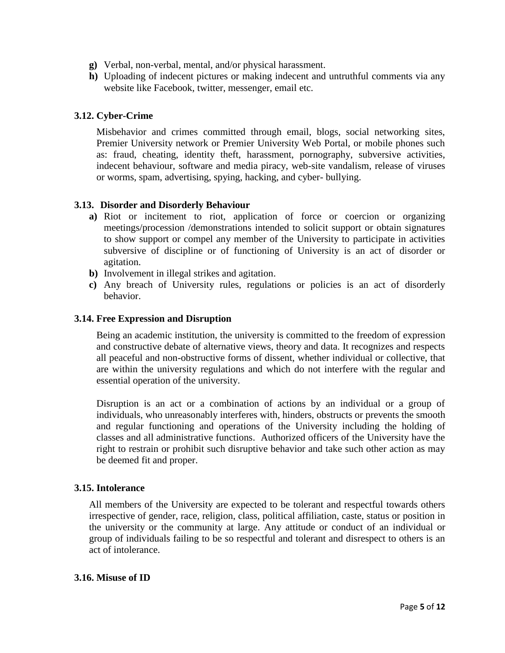- **g)** Verbal, non-verbal, mental, and/or physical harassment.
- **h)** Uploading of indecent pictures or making indecent and untruthful comments via any website like Facebook, twitter, messenger, email etc.

# **3.12. Cyber-Crime**

Misbehavior and crimes committed through email, blogs, social networking sites, Premier University network or Premier University Web Portal, or mobile phones such as: fraud, cheating, identity theft, harassment, pornography, subversive activities, indecent behaviour, software and media piracy, web-site vandalism, release of viruses or worms, spam, advertising, spying, hacking, and cyber- bullying.

# **3.13. Disorder and Disorderly Behaviour**

- **a)** Riot or incitement to riot, application of force or coercion or organizing meetings/procession /demonstrations intended to solicit support or obtain signatures to show support or compel any member of the University to participate in activities subversive of discipline or of functioning of University is an act of disorder or agitation.
- **b)** Involvement in illegal strikes and agitation.
- **c)** Any breach of University rules, regulations or policies is an act of disorderly behavior.

# **3.14. Free Expression and Disruption**

Being an academic institution, the university is committed to the freedom of expression and constructive debate of alternative views, theory and data. It recognizes and respects all peaceful and non-obstructive forms of dissent, whether individual or collective, that are within the university regulations and which do not interfere with the regular and essential operation of the university.

Disruption is an act or a combination of actions by an individual or a group of individuals, who unreasonably interferes with, hinders, obstructs or prevents the smooth and regular functioning and operations of the University including the holding of classes and all administrative functions. Authorized officers of the University have the right to restrain or prohibit such disruptive behavior and take such other action as may be deemed fit and proper.

# **3.15. Intolerance**

All members of the University are expected to be tolerant and respectful towards others irrespective of gender, race, religion, class, political affiliation, caste, status or position in the university or the community at large. Any attitude or conduct of an individual or group of individuals failing to be so respectful and tolerant and disrespect to others is an act of intolerance.

# **3.16. Misuse of ID**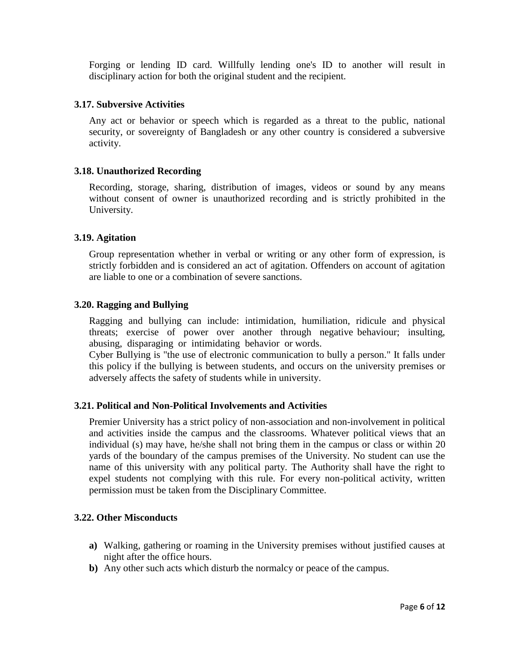Forging or lending ID card. Willfully lending one's ID to another will result in disciplinary action for both the original student and the recipient.

#### **3.17. Subversive Activities**

Any act or behavior or speech which is regarded as a threat to the public, national security, or sovereignty of Bangladesh or any other country is considered a subversive activity.

#### **3.18. Unauthorized Recording**

Recording, storage, sharing, distribution of images, videos or sound by any means without consent of owner is unauthorized recording and is strictly prohibited in the University.

#### **3.19. Agitation**

Group representation whether in verbal or writing or any other form of expression, is strictly forbidden and is considered an act of agitation. Offenders on account of agitation are liable to one or a combination of severe sanctions.

#### **3.20. Ragging and Bullying**

Ragging and bullying can include: intimidation, humiliation, ridicule and physical threats; exercise of power over another through negative behaviour; insulting, abusing, disparaging or intimidating behavior or words.

Cyber Bullying is "the use of electronic communication to bully a person." It falls under this policy if the bullying is between students, and occurs on the university premises or adversely affects the safety of students while in university.

#### **3.21. Political and Non-Political Involvements and Activities**

Premier University has a strict policy of non-association and non-involvement in political and activities inside the campus and the classrooms. Whatever political views that an individual (s) may have, he/she shall not bring them in the campus or class or within 20 yards of the boundary of the campus premises of the University. No student can use the name of this university with any political party. The Authority shall have the right to expel students not complying with this rule. For every non-political activity, written permission must be taken from the Disciplinary Committee.

#### **3.22. Other Misconducts**

- **a)** Walking, gathering or roaming in the University premises without justified causes at night after the office hours.
- **b)** Any other such acts which disturb the normalcy or peace of the campus.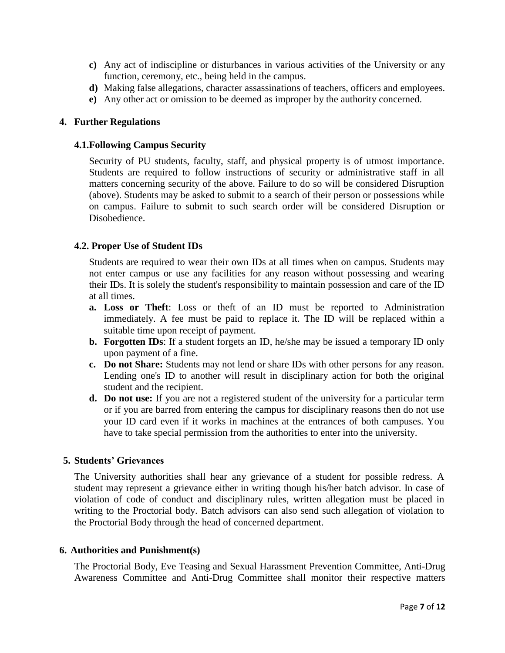- **c)** Any act of indiscipline or disturbances in various activities of the University or any function, ceremony, etc., being held in the campus.
- **d)** Making false allegations, character assassinations of teachers, officers and employees.
- **e)** Any other act or omission to be deemed as improper by the authority concerned.

#### **4. Further Regulations**

#### **4.1.Following Campus Security**

Security of PU students, faculty, staff, and physical property is of utmost importance. Students are required to follow instructions of security or administrative staff in all matters concerning security of the above. Failure to do so will be considered Disruption (above). Students may be asked to submit to a search of their person or possessions while on campus. Failure to submit to such search order will be considered Disruption or Disobedience.

# **4.2. Proper Use of Student IDs**

Students are required to wear their own IDs at all times when on campus. Students may not enter campus or use any facilities for any reason without possessing and wearing their IDs. It is solely the student's responsibility to maintain possession and care of the ID at all times.

- **a. Loss or Theft**: Loss or theft of an ID must be reported to Administration immediately. A fee must be paid to replace it. The ID will be replaced within a suitable time upon receipt of payment.
- **b. Forgotten IDs**: If a student forgets an ID, he/she may be issued a temporary ID only upon payment of a fine.
- **c. Do not Share:** Students may not lend or share IDs with other persons for any reason. Lending one's ID to another will result in disciplinary action for both the original student and the recipient.
- **d. Do not use:** If you are not a registered student of the university for a particular term or if you are barred from entering the campus for disciplinary reasons then do not use your ID card even if it works in machines at the entrances of both campuses. You have to take special permission from the authorities to enter into the university.

# **5. Students' Grievances**

The University authorities shall hear any grievance of a student for possible redress. A student may represent a grievance either in writing though his/her batch advisor. In case of violation of code of conduct and disciplinary rules, written allegation must be placed in writing to the Proctorial body. Batch advisors can also send such allegation of violation to the Proctorial Body through the head of concerned department.

#### **6. Authorities and Punishment(s)**

The Proctorial Body, Eve Teasing and Sexual Harassment Prevention Committee, Anti-Drug Awareness Committee and Anti-Drug Committee shall monitor their respective matters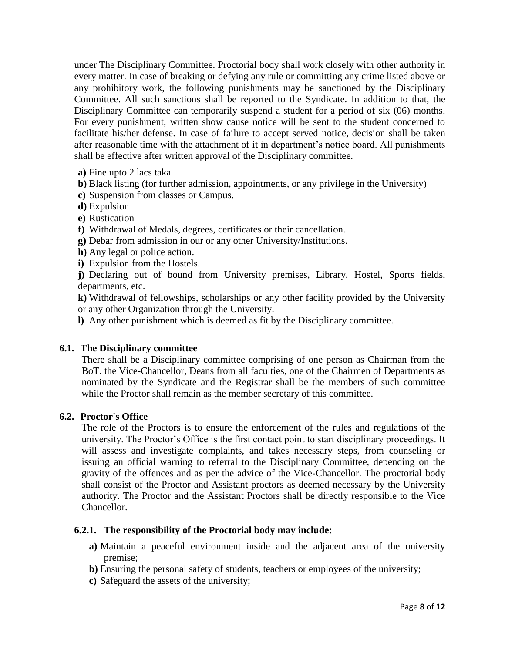under The Disciplinary Committee. Proctorial body shall work closely with other authority in every matter. In case of breaking or defying any rule or committing any crime listed above or any prohibitory work, the following punishments may be sanctioned by the Disciplinary Committee. All such sanctions shall be reported to the Syndicate. In addition to that, the Disciplinary Committee can temporarily suspend a student for a period of six (06) months. For every punishment, written show cause notice will be sent to the student concerned to facilitate his/her defense. In case of failure to accept served notice, decision shall be taken after reasonable time with the attachment of it in department's notice board. All punishments shall be effective after written approval of the Disciplinary committee.

- **a)** Fine upto 2 lacs taka
- **b)** Black listing (for further admission, appointments, or any privilege in the University)
- **c)** Suspension from classes or Campus.
- **d)** Expulsion
- **e)** Rustication
- **f)** Withdrawal of Medals, degrees, certificates or their cancellation.
- **g)** Debar from admission in our or any other University/Institutions.
- **h)** Any legal or police action.
- **i)** Expulsion from the Hostels.

**j)** Declaring out of bound from University premises, Library, Hostel, Sports fields, departments, etc.

**k)** Withdrawal of fellowships, scholarships or any other facility provided by the University or any other Organization through the University.

**l)** Any other punishment which is deemed as fit by the Disciplinary committee.

#### **6.1. The Disciplinary committee**

There shall be a Disciplinary committee comprising of one person as Chairman from the BoT. the Vice-Chancellor, Deans from all faculties, one of the Chairmen of Departments as nominated by the Syndicate and the Registrar shall be the members of such committee while the Proctor shall remain as the member secretary of this committee.

#### **6.2. Proctor's Office**

The role of the Proctors is to ensure the enforcement of the rules and regulations of the university. The Proctor's Office is the first contact point to start disciplinary proceedings. It will assess and investigate complaints, and takes necessary steps, from counseling or issuing an official warning to referral to the Disciplinary Committee, depending on the gravity of the offences and as per the advice of the Vice-Chancellor. The proctorial body shall consist of the Proctor and Assistant proctors as deemed necessary by the University authority. The Proctor and the Assistant Proctors shall be directly responsible to the Vice Chancellor.

#### **6.2.1. The responsibility of the Proctorial body may include:**

- **a)** Maintain a peaceful environment inside and the adjacent area of the university premise;
- **b)** Ensuring the personal safety of students, teachers or employees of the university;
- **c)** Safeguard the assets of the university;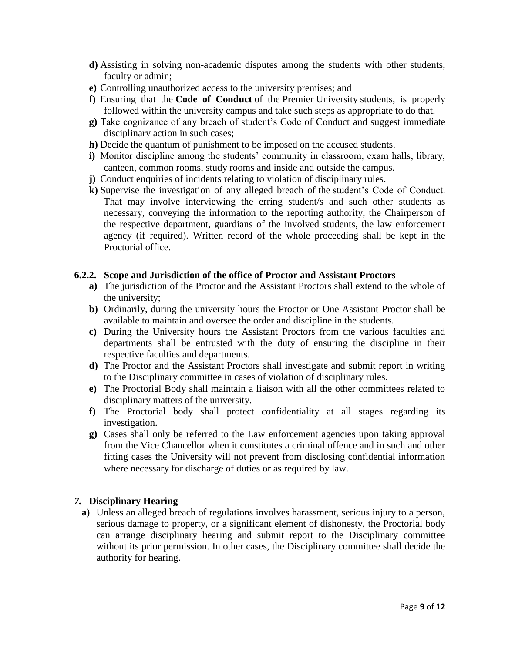- **d)** Assisting in solving non-academic disputes among the students with other students, faculty or admin;
- **e)** Controlling unauthorized access to the university premises; and
- **f)** Ensuring that the **Code of Conduct** of the Premier University students, is properly followed within the university campus and take such steps as appropriate to do that.
- **g)** Take cognizance of any breach of student's Code of Conduct and suggest immediate disciplinary action in such cases;
- **h)** Decide the quantum of punishment to be imposed on the accused students.
- **i)** Monitor discipline among the students' community in classroom, exam halls, library, canteen, common rooms, study rooms and inside and outside the campus.
- **j)** Conduct enquiries of incidents relating to violation of disciplinary rules.
- **k)** Supervise the investigation of any alleged breach of the student's Code of Conduct. That may involve interviewing the erring student/s and such other students as necessary, conveying the information to the reporting authority, the Chairperson of the respective department, guardians of the involved students, the law enforcement agency (if required). Written record of the whole proceeding shall be kept in the Proctorial office.

# **6.2.2. Scope and Jurisdiction of the office of Proctor and Assistant Proctors**

- **a)** The jurisdiction of the Proctor and the Assistant Proctors shall extend to the whole of the university;
- **b)** Ordinarily, during the university hours the Proctor or One Assistant Proctor shall be available to maintain and oversee the order and discipline in the students.
- **c)** During the University hours the Assistant Proctors from the various faculties and departments shall be entrusted with the duty of ensuring the discipline in their respective faculties and departments.
- **d)** The Proctor and the Assistant Proctors shall investigate and submit report in writing to the Disciplinary committee in cases of violation of disciplinary rules.
- **e)** The Proctorial Body shall maintain a liaison with all the other committees related to disciplinary matters of the university.
- **f)** The Proctorial body shall protect confidentiality at all stages regarding its investigation.
- **g)** Cases shall only be referred to the Law enforcement agencies upon taking approval from the Vice Chancellor when it constitutes a criminal offence and in such and other fitting cases the University will not prevent from disclosing confidential information where necessary for discharge of duties or as required by law.

# *7.* **Disciplinary Hearing**

**a)** Unless an alleged breach of regulations involves harassment, serious injury to a person, serious damage to property, or a significant element of dishonesty, the Proctorial body can arrange disciplinary hearing and submit report to the Disciplinary committee without its prior permission. In other cases, the Disciplinary committee shall decide the authority for hearing.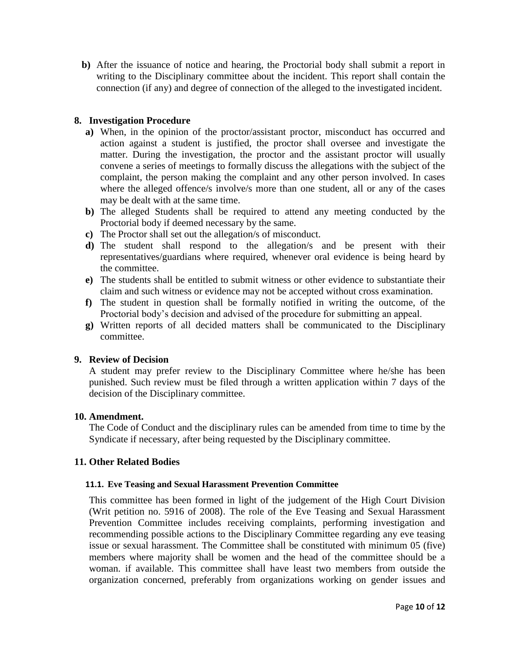**b)** After the issuance of notice and hearing, the Proctorial body shall submit a report in writing to the Disciplinary committee about the incident. This report shall contain the connection (if any) and degree of connection of the alleged to the investigated incident.

# **8. Investigation Procedure**

- **a)** When, in the opinion of the proctor/assistant proctor, misconduct has occurred and action against a student is justified, the proctor shall oversee and investigate the matter. During the investigation, the proctor and the assistant proctor will usually convene a series of meetings to formally discuss the allegations with the subject of the complaint, the person making the complaint and any other person involved. In cases where the alleged offence/s involve/s more than one student, all or any of the cases may be dealt with at the same time.
- **b)** The alleged Students shall be required to attend any meeting conducted by the Proctorial body if deemed necessary by the same.
- **c)** The Proctor shall set out the allegation/s of misconduct.
- **d)** The student shall respond to the allegation/s and be present with their representatives/guardians where required, whenever oral evidence is being heard by the committee.
- **e)** The students shall be entitled to submit witness or other evidence to substantiate their claim and such witness or evidence may not be accepted without cross examination.
- **f)** The student in question shall be formally notified in writing the outcome, of the Proctorial body's decision and advised of the procedure for submitting an appeal.
- **g)** Written reports of all decided matters shall be communicated to the Disciplinary committee.

# **9. Review of Decision**

A student may prefer review to the Disciplinary Committee where he/she has been punished. Such review must be filed through a written application within 7 days of the decision of the Disciplinary committee.

# **10. Amendment.**

The Code of Conduct and the disciplinary rules can be amended from time to time by the Syndicate if necessary, after being requested by the Disciplinary committee.

# **11. Other Related Bodies**

#### **11.1. Eve Teasing and Sexual Harassment Prevention Committee**

This committee has been formed in light of the judgement of the High Court Division (Writ petition no. 5916 of 2008). The role of the Eve Teasing and Sexual Harassment Prevention Committee includes receiving complaints, performing investigation and recommending possible actions to the Disciplinary Committee regarding any eve teasing issue or sexual harassment. The Committee shall be constituted with minimum 05 (five) members where majority shall be women and the head of the committee should be a woman. if available. This committee shall have least two members from outside the organization concerned, preferably from organizations working on gender issues and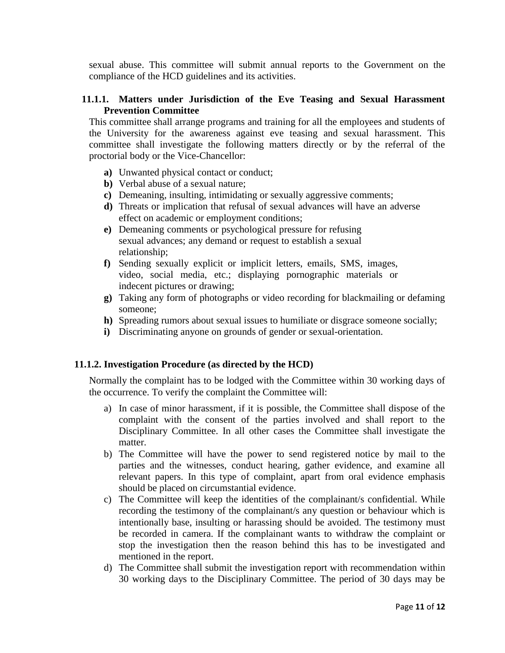sexual abuse. This committee will submit annual reports to the Government on the compliance of the HCD guidelines and its activities.

# **11.1.1. Matters under Jurisdiction of the Eve Teasing and Sexual Harassment Prevention Committee**

This committee shall arrange programs and training for all the employees and students of the University for the awareness against eve teasing and sexual harassment. This committee shall investigate the following matters directly or by the referral of the proctorial body or the Vice-Chancellor:

- **a)** Unwanted physical contact or conduct;
- **b)** Verbal abuse of a sexual nature;
- **c)** Demeaning, insulting, intimidating or sexually aggressive comments;
- **d)** Threats or implication that refusal of sexual advances will have an adverse effect on academic or employment conditions;
- **e)** Demeaning comments or psychological pressure for refusing sexual advances; any demand or request to establish a sexual relationship;
- **f)** Sending sexually explicit or implicit letters, emails, SMS, images, video, social media, etc.; displaying pornographic materials or indecent pictures or drawing;
- **g)** Taking any form of photographs or video recording for blackmailing or defaming someone;
- **h)** Spreading rumors about sexual issues to humiliate or disgrace someone socially;
- **i)** Discriminating anyone on grounds of gender or sexual-orientation.

# **11.1.2. Investigation Procedure (as directed by the HCD)**

Normally the complaint has to be lodged with the Committee within 30 working days of the occurrence. To verify the complaint the Committee will:

- a) In case of minor harassment, if it is possible, the Committee shall dispose of the complaint with the consent of the parties involved and shall report to the Disciplinary Committee. In all other cases the Committee shall investigate the matter.
- b) The Committee will have the power to send registered notice by mail to the parties and the witnesses, conduct hearing, gather evidence, and examine all relevant papers. In this type of complaint, apart from oral evidence emphasis should be placed on circumstantial evidence.
- c) The Committee will keep the identities of the complainant/s confidential. While recording the testimony of the complainant/s any question or behaviour which is intentionally base, insulting or harassing should be avoided. The testimony must be recorded in camera. If the complainant wants to withdraw the complaint or stop the investigation then the reason behind this has to be investigated and mentioned in the report.
- d) The Committee shall submit the investigation report with recommendation within 30 working days to the Disciplinary Committee. The period of 30 days may be